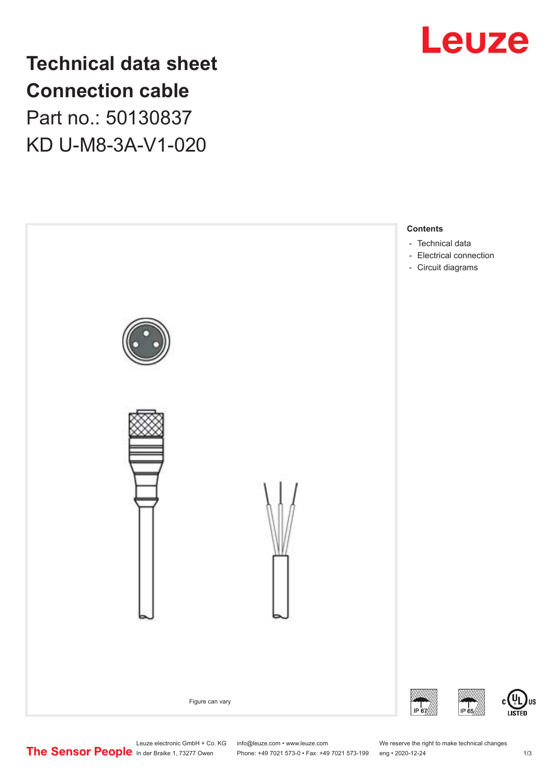

# **Technical data sheet Connection cable** Part no.: 50130837 KD U-M8-3A-V1-020



Leuze electronic GmbH + Co. KG info@leuze.com • www.leuze.com We reserve the right to make technical changes<br>
The Sensor People in der Braike 1, 73277 Owen Phone: +49 7021 573-0 • Fax: +49 7021 573-199 eng • 2020-12-24

Phone: +49 7021 573-0 • Fax: +49 7021 573-199 eng • 2020-12-24 1 2020-12-24

US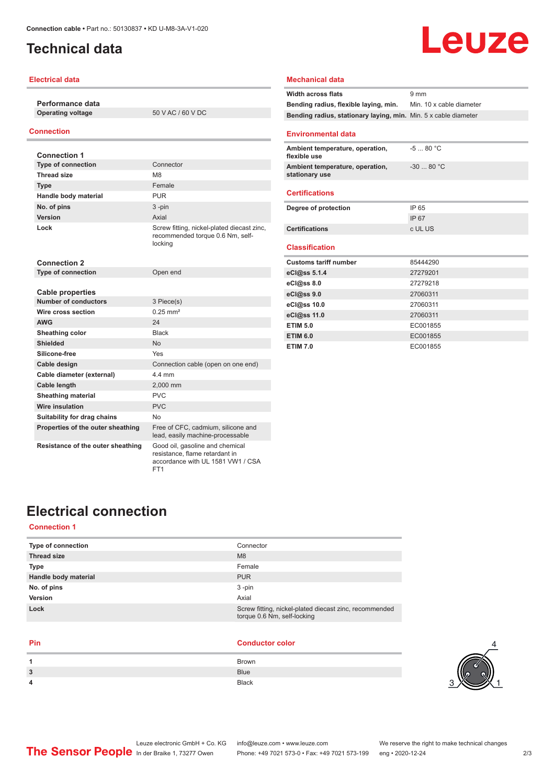### <span id="page-1-0"></span>**Technical data**

#### **Electrical data**

**Performance data Operating voltage** 50 V AC / 60 V DC

#### **Connection**

| <b>Connection 1</b>               |                                                                                                        |
|-----------------------------------|--------------------------------------------------------------------------------------------------------|
| <b>Type of connection</b>         | Connector                                                                                              |
| <b>Thread size</b>                | M8                                                                                                     |
| <b>Type</b>                       | Female                                                                                                 |
| Handle body material              | <b>PUR</b>                                                                                             |
| No. of pins                       | $3 - pin$                                                                                              |
| Version                           | Axial                                                                                                  |
| Lock                              | Screw fitting, nickel-plated diecast zinc,<br>recommended torque 0.6 Nm, self-<br>locking              |
| Connection 2                      |                                                                                                        |
| <b>Type of connection</b>         | Open end                                                                                               |
|                                   |                                                                                                        |
| <b>Cable properties</b>           |                                                                                                        |
| <b>Number of conductors</b>       | 3 Piece(s)                                                                                             |
| Wire cross section                | $0.25$ mm <sup>2</sup>                                                                                 |
| <b>AWG</b>                        | 24                                                                                                     |
| Sheathing color                   | <b>Black</b>                                                                                           |
| <b>Shielded</b>                   | <b>No</b>                                                                                              |
| Silicone-free                     | Yes                                                                                                    |
| Cable design                      | Connection cable (open on one end)                                                                     |
| Cable diameter (external)         | 44 mm                                                                                                  |
| Cable length                      | 2,000 mm                                                                                               |
| <b>Sheathing material</b>         | PVC                                                                                                    |
| <b>Wire insulation</b>            | <b>PVC</b>                                                                                             |
| Suitability for drag chains       | No.                                                                                                    |
| Properties of the outer sheathing | Free of CFC, cadmium, silicone and<br>lead, easily machine-processable                                 |
| Resistance of the outer sheathing | Good oil, gasoline and chemical<br>resistance, flame retardant in<br>accordance with UL 1581 VW1 / CSA |

FT1

### **Mechanical data Width across flats** 9 mm **Bending radius, flexible laying, min.** Min. 10 x cable diameter **Bending radius, stationary laying, min.** Min. 5 x cable diameter **Environmental data Ambient temperature, operation, flexible use** -5 ... 80 °C **Ambient temperature, operation, stationary use** -30 ... 80 °C **Certifications Degree of protection** IP 65 IP 67 **Certifications** c UL US **Classification Customs tariff number** 85444290 **eCl@ss 5.1.4** 27279201

Leuze

| U(0.8550.14)    | 21219201 |
|-----------------|----------|
| eCl@ss 8.0      | 27279218 |
| eCl@ss 9.0      | 27060311 |
| eCl@ss 10.0     | 27060311 |
| eCl@ss 11.0     | 27060311 |
| <b>ETIM 5.0</b> | EC001855 |
| <b>ETIM 6.0</b> | EC001855 |
| <b>ETIM 7.0</b> | EC001855 |

### **Electrical connection**

#### **Connection 1**

| Connector                                                                             |
|---------------------------------------------------------------------------------------|
| M <sub>8</sub>                                                                        |
| Female                                                                                |
| <b>PUR</b>                                                                            |
| $3 - pin$                                                                             |
| Axial                                                                                 |
| Screw fitting, nickel-plated diecast zinc, recommended<br>torque 0.6 Nm, self-locking |
|                                                                                       |

#### **Pin Conductor color**

|   | Brown        |
|---|--------------|
| 3 | <b>Blue</b>  |
| 4 | <b>Black</b> |